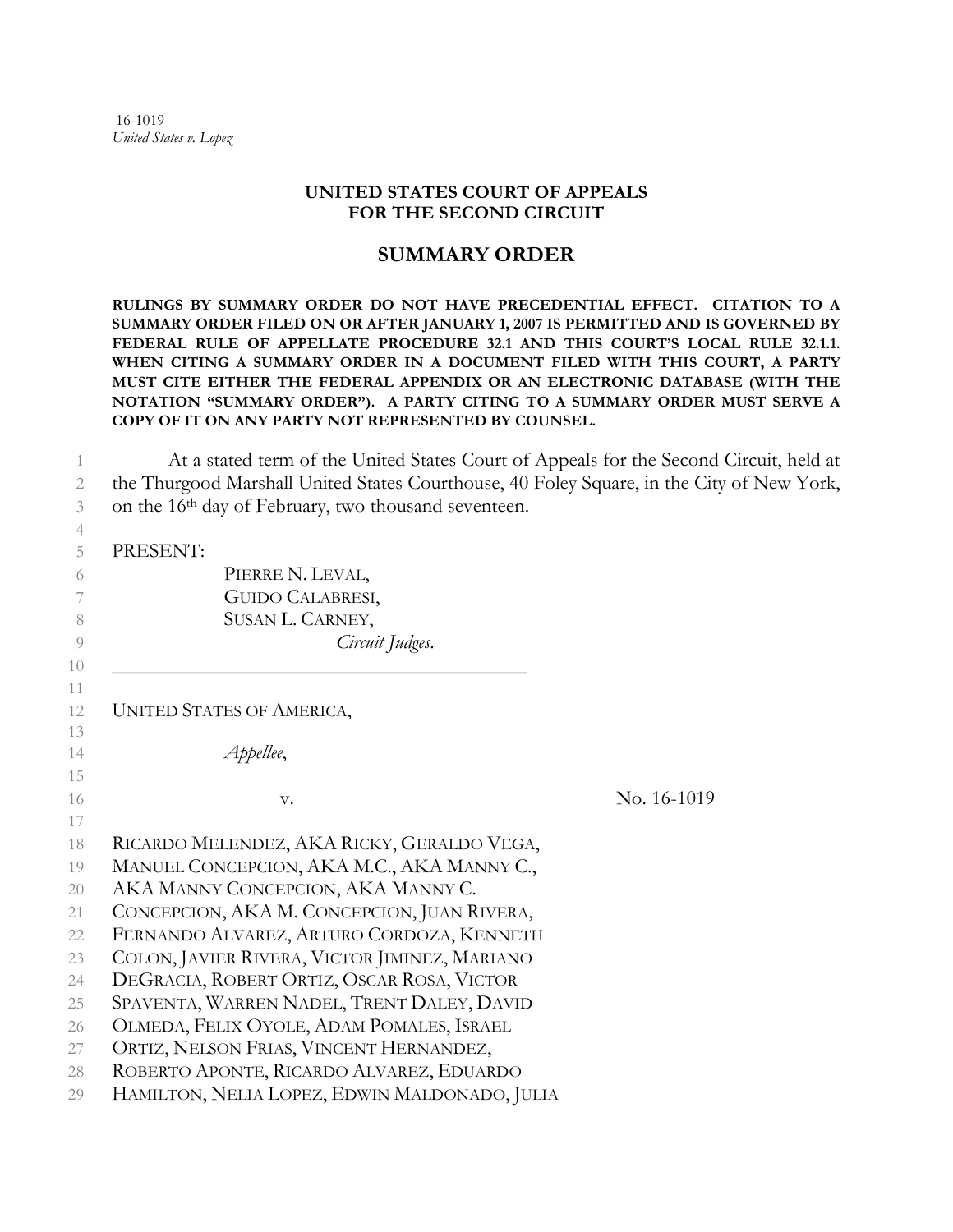16-1019 *United States v. Lopez* 

## **UNITED STATES COURT OF APPEALS FOR THE SECOND CIRCUIT**

## **SUMMARY ORDER**

**RULINGS BY SUMMARY ORDER DO NOT HAVE PRECEDENTIAL EFFECT. CITATION TO A SUMMARY ORDER FILED ON OR AFTER JANUARY 1, 2007 IS PERMITTED AND IS GOVERNED BY FEDERAL RULE OF APPELLATE PROCEDURE 32.1 AND THIS COURT'S LOCAL RULE 32.1.1. WHEN CITING A SUMMARY ORDER IN A DOCUMENT FILED WITH THIS COURT, A PARTY MUST CITE EITHER THE FEDERAL APPENDIX OR AN ELECTRONIC DATABASE (WITH THE NOTATION "SUMMARY ORDER"). A PARTY CITING TO A SUMMARY ORDER MUST SERVE A COPY OF IT ON ANY PARTY NOT REPRESENTED BY COUNSEL.** 

1 At a stated term of the United States Court of Appeals for the Second Circuit, held at 2 the Thurgood Marshall United States Courthouse, 40 Foley Square, in the City of New York, 3 on the 16<sup>th</sup> day of February, two thousand seventeen.

## 5 PRESENT:

4

| 5 | PRESENT:                                      |             |
|---|-----------------------------------------------|-------------|
| 6 | PIERRE N. LEVAL,                              |             |
| 7 | GUIDO CALABRESI,                              |             |
|   | SUSAN L. CARNEY,                              |             |
|   | Circuit Judges.                               |             |
|   | <b>UNITED STATES OF AMERICA,</b>              |             |
|   | Appellee,                                     |             |
|   | V.                                            | No. 16-1019 |
|   | RICARDO MELENDEZ, AKA RICKY, GERALDO VEGA,    |             |
|   | MANUEL CONCEPCION, AKA M.C., AKA MANNY C.,    |             |
|   | AKA MANNY CONCEPCION, AKA MANNY C.            |             |
|   | CONCEPCION, AKA M. CONCEPCION, JUAN RIVERA,   |             |
|   | FERNANDO ALVAREZ, ARTURO CORDOZA, KENNETH     |             |
|   | COLON, JAVIER RIVERA, VICTOR JIMINEZ, MARIANO |             |
|   | DEGRACIA, ROBERT ORTIZ, OSCAR ROSA, VICTOR    |             |
|   | SPAVENTA, WARREN NADEL, TRENT DALEY, DAVID    |             |
|   | OLMEDA, FELIX OYOLE, ADAM POMALES, ISRAEL     |             |
|   | ORTIZ, NELSON FRIAS, VINCENT HERNANDEZ,       |             |
|   | ROBERTO APONTE, RICARDO ALVAREZ, EDUARDO      |             |
|   | HAMILTON, NELIA LOPEZ, EDWIN MALDONADO, JULIA |             |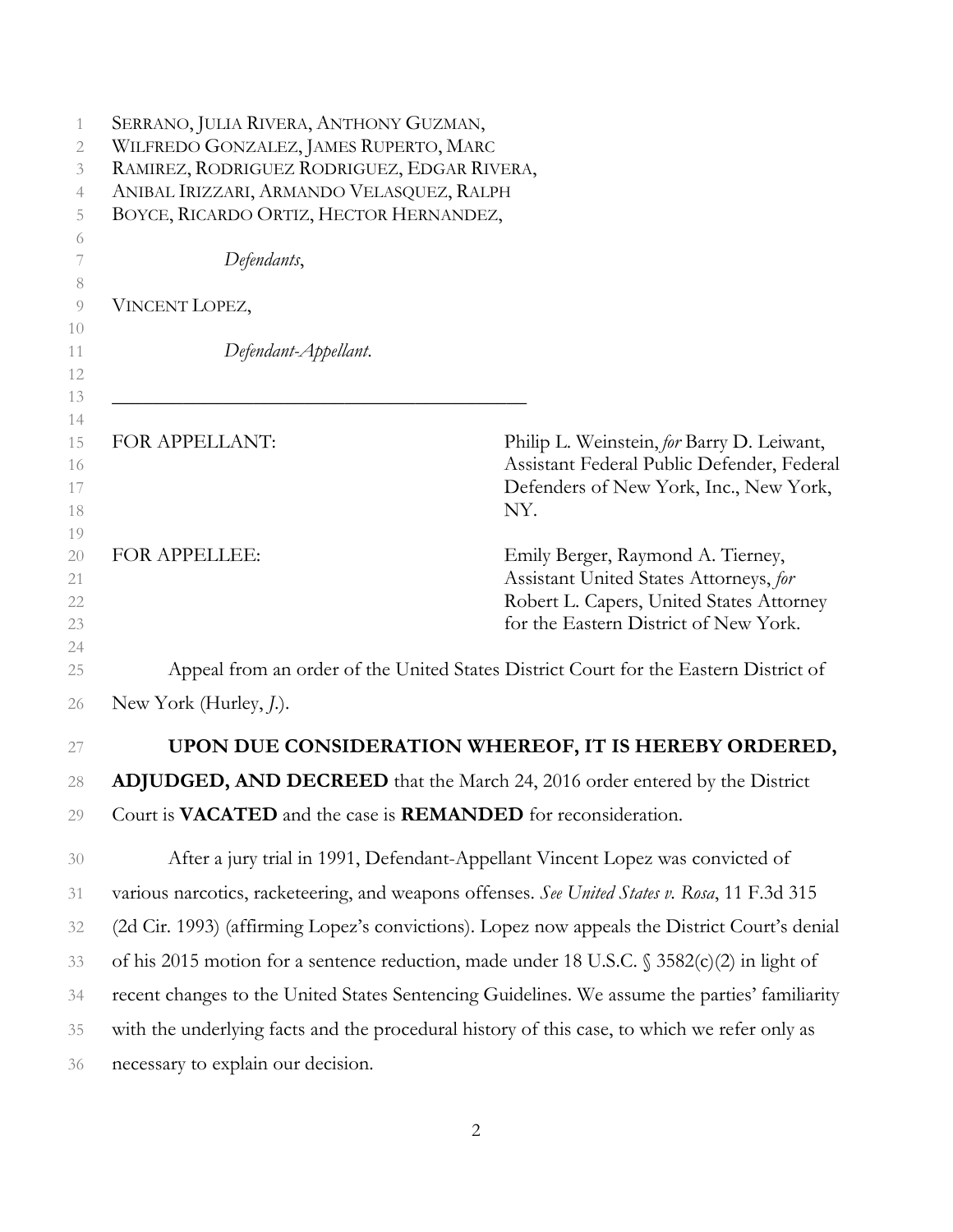| 1                    | SERRANO, JULIA RIVERA, ANTHONY GUZMAN,                                                        |                                                                                                                                                                  |  |  |
|----------------------|-----------------------------------------------------------------------------------------------|------------------------------------------------------------------------------------------------------------------------------------------------------------------|--|--|
| 2                    | WILFREDO GONZALEZ, JAMES RUPERTO, MARC                                                        |                                                                                                                                                                  |  |  |
| 3                    | RAMIREZ, RODRIGUEZ RODRIGUEZ, EDGAR RIVERA,                                                   |                                                                                                                                                                  |  |  |
| 4                    | ANIBAL IRIZZARI, ARMANDO VELASQUEZ, RALPH                                                     |                                                                                                                                                                  |  |  |
| 5                    | BOYCE, RICARDO ORTIZ, HECTOR HERNANDEZ,                                                       |                                                                                                                                                                  |  |  |
| 6<br>7<br>8          | Defendants,                                                                                   |                                                                                                                                                                  |  |  |
| 9<br>10              | VINCENT LOPEZ,                                                                                |                                                                                                                                                                  |  |  |
| 11<br>12             | Defendant-Appellant.                                                                          |                                                                                                                                                                  |  |  |
| 13<br>14<br>15       | FOR APPELLANT:                                                                                | Philip L. Weinstein, for Barry D. Leiwant,<br>Assistant Federal Public Defender, Federal                                                                         |  |  |
| 16<br>17<br>18<br>19 |                                                                                               | Defenders of New York, Inc., New York,<br>NY.                                                                                                                    |  |  |
| 20<br>21<br>22<br>23 | FOR APPELLEE:                                                                                 | Emily Berger, Raymond A. Tierney,<br>Assistant United States Attorneys, for<br>Robert L. Capers, United States Attorney<br>for the Eastern District of New York. |  |  |
| 24<br>25             |                                                                                               | Appeal from an order of the United States District Court for the Eastern District of                                                                             |  |  |
| 26                   | New York (Hurley, <i>J</i> .).                                                                |                                                                                                                                                                  |  |  |
| 27                   |                                                                                               | UPON DUE CONSIDERATION WHEREOF, IT IS HEREBY ORDERED,                                                                                                            |  |  |
| 28                   |                                                                                               | ADJUDGED, AND DECREED that the March 24, 2016 order entered by the District                                                                                      |  |  |
| 29                   | Court is VACATED and the case is REMANDED for reconsideration.                                |                                                                                                                                                                  |  |  |
| 30                   |                                                                                               | After a jury trial in 1991, Defendant-Appellant Vincent Lopez was convicted of                                                                                   |  |  |
| 31                   | various narcotics, racketeering, and weapons offenses. See United States v. Rosa, 11 F.3d 315 |                                                                                                                                                                  |  |  |
| 32                   |                                                                                               | (2d Cir. 1993) (affirming Lopez's convictions). Lopez now appeals the District Court's denial                                                                    |  |  |
| 33                   |                                                                                               | of his 2015 motion for a sentence reduction, made under 18 U.S.C. § 3582(c)(2) in light of                                                                       |  |  |
| 34                   |                                                                                               | recent changes to the United States Sentencing Guidelines. We assume the parties' familiarity                                                                    |  |  |
| 35                   | with the underlying facts and the procedural history of this case, to which we refer only as  |                                                                                                                                                                  |  |  |
| 36                   | necessary to explain our decision.                                                            |                                                                                                                                                                  |  |  |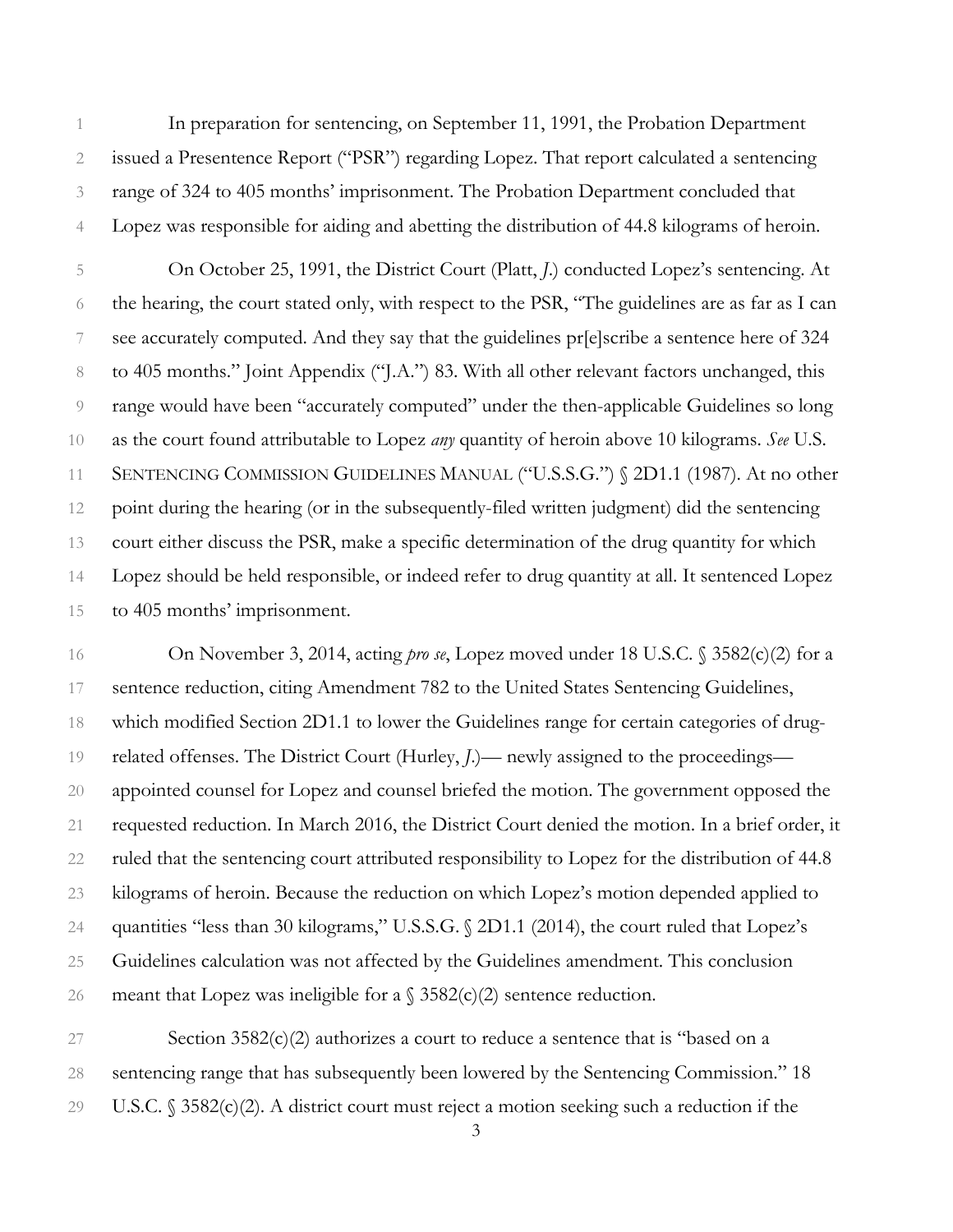1 In preparation for sentencing, on September 11, 1991, the Probation Department 2 issued a Presentence Report ("PSR") regarding Lopez. That report calculated a sentencing 3 range of 324 to 405 months' imprisonment. The Probation Department concluded that 4 Lopez was responsible for aiding and abetting the distribution of 44.8 kilograms of heroin.

5 On October 25, 1991, the District Court (Platt, *J*.) conducted Lopez's sentencing. At 6 the hearing, the court stated only, with respect to the PSR, "The guidelines are as far as I can 7 see accurately computed. And they say that the guidelines pr[e]scribe a sentence here of 324 8 to 405 months." Joint Appendix ("J.A.") 83. With all other relevant factors unchanged, this 9 range would have been "accurately computed" under the then-applicable Guidelines so long 10 as the court found attributable to Lopez *any* quantity of heroin above 10 kilograms. *See* U.S. 11 SENTENCING COMMISSION GUIDELINES MANUAL ("U.S.S.G.") § 2D1.1 (1987). At no other 12 point during the hearing (or in the subsequently-filed written judgment) did the sentencing 13 court either discuss the PSR, make a specific determination of the drug quantity for which 14 Lopez should be held responsible, or indeed refer to drug quantity at all. It sentenced Lopez 15 to 405 months' imprisonment.

16 On November 3, 2014, acting *pro se*, Lopez moved under 18 U.S.C. § 3582(c)(2) for a 17 sentence reduction, citing Amendment 782 to the United States Sentencing Guidelines, 18 which modified Section 2D1.1 to lower the Guidelines range for certain categories of drug-19 related offenses. The District Court (Hurley, *J*.)— newly assigned to the proceedings— 20 appointed counsel for Lopez and counsel briefed the motion. The government opposed the 21 requested reduction. In March 2016, the District Court denied the motion. In a brief order, it 22 ruled that the sentencing court attributed responsibility to Lopez for the distribution of 44.8 23 kilograms of heroin. Because the reduction on which Lopez's motion depended applied to 24 quantities "less than 30 kilograms," U.S.S.G. § 2D1.1 (2014), the court ruled that Lopez's 25 Guidelines calculation was not affected by the Guidelines amendment. This conclusion 26 meant that Lopez was ineligible for a  $\S$  3582(c)(2) sentence reduction.

27 Section 3582(c)(2) authorizes a court to reduce a sentence that is "based on a 28 sentencing range that has subsequently been lowered by the Sentencing Commission." 18 29 U.S.C. § 3582(c)(2). A district court must reject a motion seeking such a reduction if the

3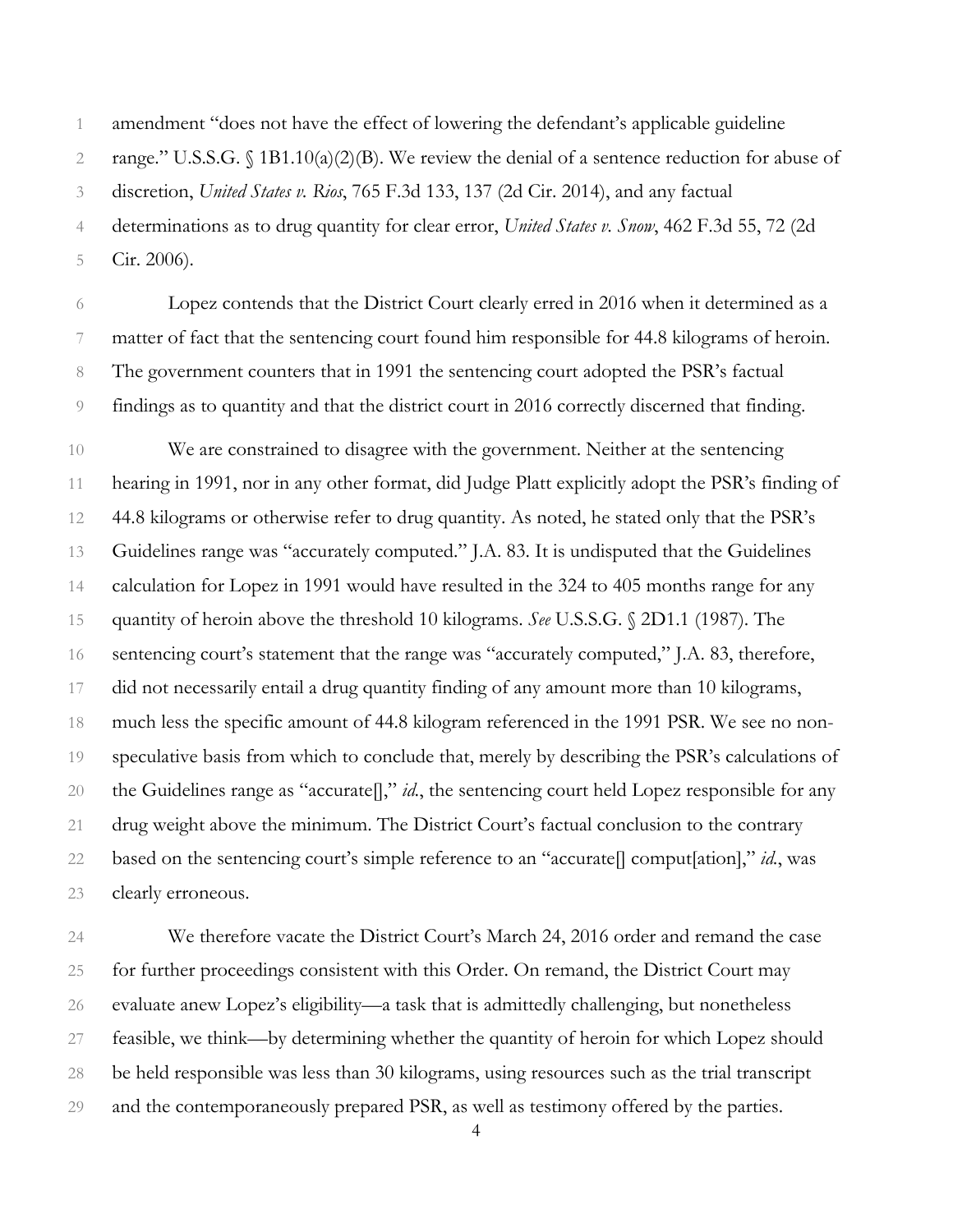1 amendment "does not have the effect of lowering the defendant's applicable guideline

2 range." U.S.S.G. § 1B1.10(a)(2)(B). We review the denial of a sentence reduction for abuse of

3 discretion, *United States v. Rios*, 765 F.3d 133, 137 (2d Cir. 2014), and any factual

4 determinations as to drug quantity for clear error, *United States v. Snow*, 462 F.3d 55, 72 (2d

5 Cir. 2006).

6 Lopez contends that the District Court clearly erred in 2016 when it determined as a 7 matter of fact that the sentencing court found him responsible for 44.8 kilograms of heroin. 8 The government counters that in 1991 the sentencing court adopted the PSR's factual 9 findings as to quantity and that the district court in 2016 correctly discerned that finding.

10 We are constrained to disagree with the government. Neither at the sentencing 11 hearing in 1991, nor in any other format, did Judge Platt explicitly adopt the PSR's finding of 12 44.8 kilograms or otherwise refer to drug quantity. As noted, he stated only that the PSR's 13 Guidelines range was "accurately computed." J.A. 83. It is undisputed that the Guidelines 14 calculation for Lopez in 1991 would have resulted in the 324 to 405 months range for any 15 quantity of heroin above the threshold 10 kilograms. *See* U.S.S.G. § 2D1.1 (1987). The 16 sentencing court's statement that the range was "accurately computed," J.A. 83, therefore, 17 did not necessarily entail a drug quantity finding of any amount more than 10 kilograms, 18 much less the specific amount of 44.8 kilogram referenced in the 1991 PSR. We see no non-19 speculative basis from which to conclude that, merely by describing the PSR's calculations of 20 the Guidelines range as "accurate[]," *id.*, the sentencing court held Lopez responsible for any 21 drug weight above the minimum. The District Court's factual conclusion to the contrary 22 based on the sentencing court's simple reference to an "accurate[] comput[ation]," *id.*, was 23 clearly erroneous.

24 We therefore vacate the District Court's March 24, 2016 order and remand the case 25 for further proceedings consistent with this Order. On remand, the District Court may 26 evaluate anew Lopez's eligibility—a task that is admittedly challenging, but nonetheless 27 feasible, we think—by determining whether the quantity of heroin for which Lopez should 28 be held responsible was less than 30 kilograms, using resources such as the trial transcript 29 and the contemporaneously prepared PSR, as well as testimony offered by the parties.

<sup>4</sup>